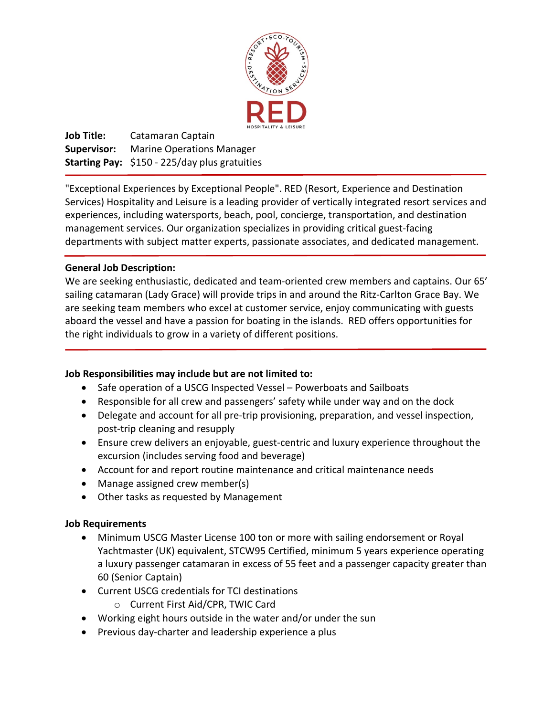

**Job Title:** Catamaran Captain **Supervisor:** Marine Operations Manager **Starting Pay:** \$150 - 225/day plus gratuities

"Exceptional Experiences by Exceptional People". RED (Resort, Experience and Destination Services) Hospitality and Leisure is a leading provider of vertically integrated resort services and experiences, including watersports, beach, pool, concierge, transportation, and destination management services. Our organization specializes in providing critical guest-facing departments with subject matter experts, passionate associates, and dedicated management.

## **General Job Description:**

We are seeking enthusiastic, dedicated and team-oriented crew members and captains. Our 65' sailing catamaran (Lady Grace) will provide trips in and around the Ritz-Carlton Grace Bay. We are seeking team members who excel at customer service, enjoy communicating with guests aboard the vessel and have a passion for boating in the islands. RED offers opportunities for the right individuals to grow in a variety of different positions.

## **Job Responsibilities may include but are not limited to:**

- Safe operation of a USCG Inspected Vessel Powerboats and Sailboats
- Responsible for all crew and passengers' safety while under way and on the dock
- Delegate and account for all pre-trip provisioning, preparation, and vessel inspection, post-trip cleaning and resupply
- Ensure crew delivers an enjoyable, guest-centric and luxury experience throughout the excursion (includes serving food and beverage)
- Account for and report routine maintenance and critical maintenance needs
- Manage assigned crew member(s)
- Other tasks as requested by Management

## **Job Requirements**

- Minimum USCG Master License 100 ton or more with sailing endorsement or Royal Yachtmaster (UK) equivalent, STCW95 Certified, minimum 5 years experience operating a luxury passenger catamaran in excess of 55 feet and a passenger capacity greater than 60 (Senior Captain)
- Current USCG credentials for TCI destinations
	- o Current First Aid/CPR, TWIC Card
- Working eight hours outside in the water and/or under the sun
- Previous day-charter and leadership experience a plus